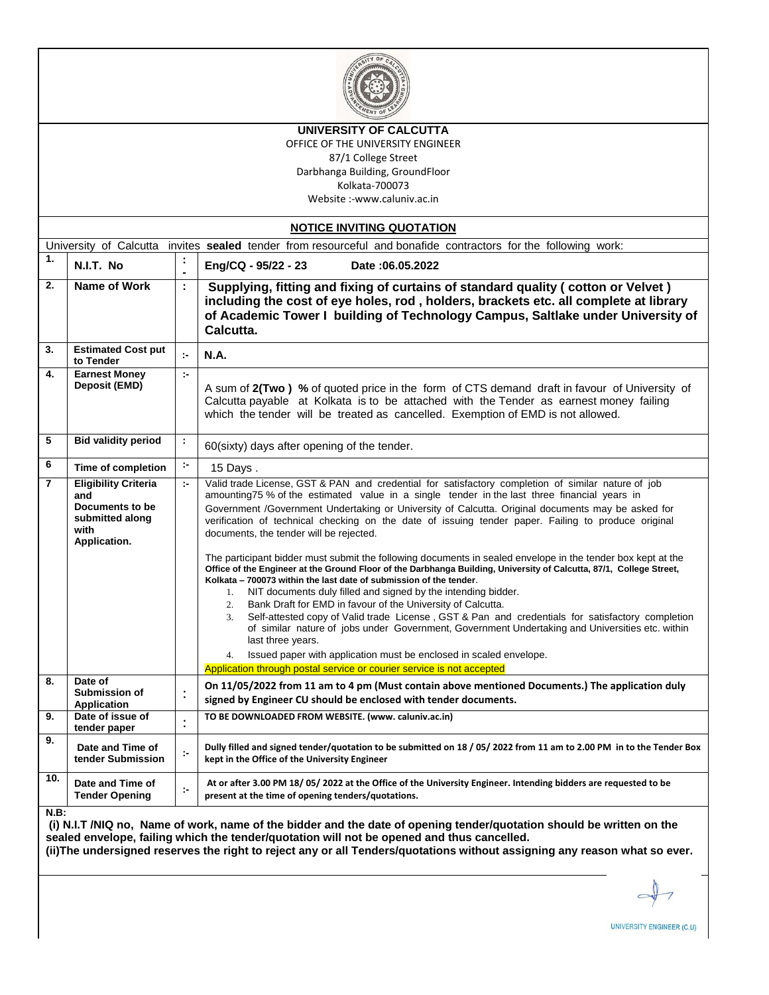

#### **UNIVERSITY OF CALCUTTA**

OFFICE OF THE UNIVERSITY ENGINEER 87/1 College Street Darbhanga Building, GroundFloor Kolkata-700073

Website :-www.caluniv.ac.in

| <b>NOTICE INVITING QUOTATION</b>                                                                               |                                                                                                  |                             |                                                                                                                                                                                                                                                                                                                                                                                                                                                                                                                                                                                                                                                                                                                                                                                                                                                                                                                                                                                                                                                                                                                                                                                                                                                                                              |  |  |  |  |
|----------------------------------------------------------------------------------------------------------------|--------------------------------------------------------------------------------------------------|-----------------------------|----------------------------------------------------------------------------------------------------------------------------------------------------------------------------------------------------------------------------------------------------------------------------------------------------------------------------------------------------------------------------------------------------------------------------------------------------------------------------------------------------------------------------------------------------------------------------------------------------------------------------------------------------------------------------------------------------------------------------------------------------------------------------------------------------------------------------------------------------------------------------------------------------------------------------------------------------------------------------------------------------------------------------------------------------------------------------------------------------------------------------------------------------------------------------------------------------------------------------------------------------------------------------------------------|--|--|--|--|
| University of Calcutta invites sealed tender from resourceful and bonafide contractors for the following work: |                                                                                                  |                             |                                                                                                                                                                                                                                                                                                                                                                                                                                                                                                                                                                                                                                                                                                                                                                                                                                                                                                                                                                                                                                                                                                                                                                                                                                                                                              |  |  |  |  |
| 1.                                                                                                             | N.I.T. No                                                                                        | ÷<br>L.                     | Eng/CQ - 95/22 - 23<br>Date: 06.05.2022                                                                                                                                                                                                                                                                                                                                                                                                                                                                                                                                                                                                                                                                                                                                                                                                                                                                                                                                                                                                                                                                                                                                                                                                                                                      |  |  |  |  |
| 2.                                                                                                             | Name of Work                                                                                     | $\ddot{\phantom{a}}$        | Supplying, fitting and fixing of curtains of standard quality (cotton or Velvet)<br>including the cost of eye holes, rod, holders, brackets etc. all complete at library<br>of Academic Tower I building of Technology Campus, Saltlake under University of<br>Calcutta.                                                                                                                                                                                                                                                                                                                                                                                                                                                                                                                                                                                                                                                                                                                                                                                                                                                                                                                                                                                                                     |  |  |  |  |
| 3.                                                                                                             | <b>Estimated Cost put</b><br>to Tender                                                           | $\mathcal{C}^{\mathcal{C}}$ | <b>N.A.</b>                                                                                                                                                                                                                                                                                                                                                                                                                                                                                                                                                                                                                                                                                                                                                                                                                                                                                                                                                                                                                                                                                                                                                                                                                                                                                  |  |  |  |  |
| 4.                                                                                                             | <b>Earnest Money</b><br>Deposit (EMD)                                                            | $\mathbf{r}$                | A sum of 2(Two) % of quoted price in the form of CTS demand draft in favour of University of<br>Calcutta payable at Kolkata is to be attached with the Tender as earnest money failing<br>which the tender will be treated as cancelled. Exemption of EMD is not allowed.                                                                                                                                                                                                                                                                                                                                                                                                                                                                                                                                                                                                                                                                                                                                                                                                                                                                                                                                                                                                                    |  |  |  |  |
| 5                                                                                                              | <b>Bid validity period</b>                                                                       | ÷                           | 60(sixty) days after opening of the tender.                                                                                                                                                                                                                                                                                                                                                                                                                                                                                                                                                                                                                                                                                                                                                                                                                                                                                                                                                                                                                                                                                                                                                                                                                                                  |  |  |  |  |
| 6                                                                                                              | Time of completion                                                                               | ÷.                          | 15 Days.                                                                                                                                                                                                                                                                                                                                                                                                                                                                                                                                                                                                                                                                                                                                                                                                                                                                                                                                                                                                                                                                                                                                                                                                                                                                                     |  |  |  |  |
| $\overline{7}$                                                                                                 | <b>Eligibility Criteria</b><br>and<br>Documents to be<br>submitted along<br>with<br>Application. | t-                          | Valid trade License, GST & PAN and credential for satisfactory completion of similar nature of job<br>amounting75 % of the estimated value in a single tender in the last three financial years in<br>Government /Government Undertaking or University of Calcutta. Original documents may be asked for<br>verification of technical checking on the date of issuing tender paper. Failing to produce original<br>documents, the tender will be rejected.<br>The participant bidder must submit the following documents in sealed envelope in the tender box kept at the<br>Office of the Engineer at the Ground Floor of the Darbhanga Building, University of Calcutta, 87/1, College Street,<br>Kolkata - 700073 within the last date of submission of the tender.<br>1. NIT documents duly filled and signed by the intending bidder.<br>2. Bank Draft for EMD in favour of the University of Calcutta.<br>3. Self-attested copy of Valid trade License, GST & Pan and credentials for satisfactory completion<br>of similar nature of jobs under Government, Government Undertaking and Universities etc. within<br>last three years.<br>4. Issued paper with application must be enclosed in scaled envelope.<br>Application through postal service or courier service is not accepted |  |  |  |  |
| 8.                                                                                                             | Date of<br>Submission of<br>Application                                                          | $\colon$                    | On 11/05/2022 from 11 am to 4 pm (Must contain above mentioned Documents.) The application duly<br>signed by Engineer CU should be enclosed with tender documents.                                                                                                                                                                                                                                                                                                                                                                                                                                                                                                                                                                                                                                                                                                                                                                                                                                                                                                                                                                                                                                                                                                                           |  |  |  |  |
| 9.                                                                                                             | Date of issue of<br>tender paper                                                                 | $\vdots$                    | TO BE DOWNLOADED FROM WEBSITE. (www. caluniv.ac.in)                                                                                                                                                                                                                                                                                                                                                                                                                                                                                                                                                                                                                                                                                                                                                                                                                                                                                                                                                                                                                                                                                                                                                                                                                                          |  |  |  |  |
| 9.                                                                                                             | Date and Time of<br>tender Submission                                                            | $\mathbb{R}^2$              | Dully filled and signed tender/quotation to be submitted on 18 / 05/ 2022 from 11 am to 2.00 PM in to the Tender Box<br>kept in the Office of the University Engineer                                                                                                                                                                                                                                                                                                                                                                                                                                                                                                                                                                                                                                                                                                                                                                                                                                                                                                                                                                                                                                                                                                                        |  |  |  |  |
| 10.                                                                                                            | Date and Time of<br><b>Tender Opening</b>                                                        | ţ.                          | At or after 3.00 PM 18/05/2022 at the Office of the University Engineer. Intending bidders are requested to be<br>present at the time of opening tenders/quotations.                                                                                                                                                                                                                                                                                                                                                                                                                                                                                                                                                                                                                                                                                                                                                                                                                                                                                                                                                                                                                                                                                                                         |  |  |  |  |

**N.B:**

**(i) N.I.T /NIQ no, Name of work, name of the bidder and the date of opening tender/quotation should be written on the sealed envelope, failing which the tender/quotation will not be opened and thus cancelled. (ii)The undersigned reserves the right to reject any or all Tenders/quotations without assigning any reason what so ever.**

UNIVERSITY ENGINEER (C.U)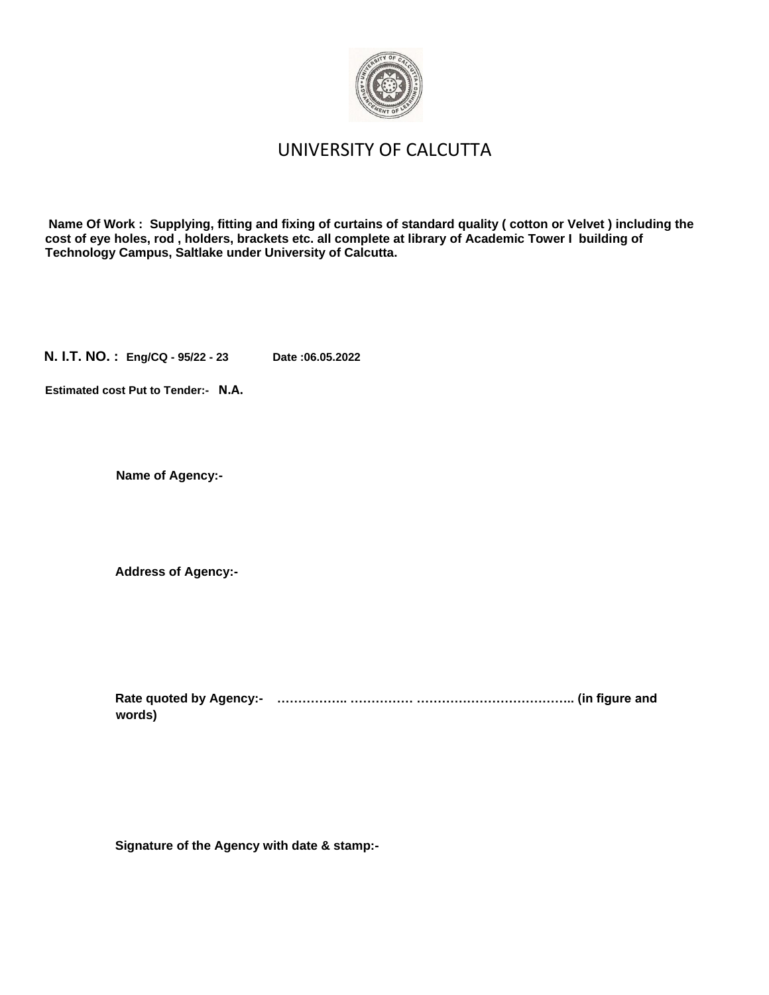

## UNIVERSITY OF CALCUTTA

**Name Of Work : Supplying, fitting and fixing of curtains of standard quality ( cotton or Velvet ) including the cost of eye holes, rod , holders, brackets etc. all complete at library of Academic Tower I building of Technology Campus, Saltlake under University of Calcutta.**

**N. I.T. NO. : Eng/CQ - 95/22 - 23 Date :06.05.2022**

**Estimated cost Put to Tender:- N.A.**

**Name of Agency:-**

**Address of Agency:-**

**Rate quoted by Agency:- …………….. …………… ……………………………….. (in figure and words)** 

**Signature of the Agency with date & stamp:-**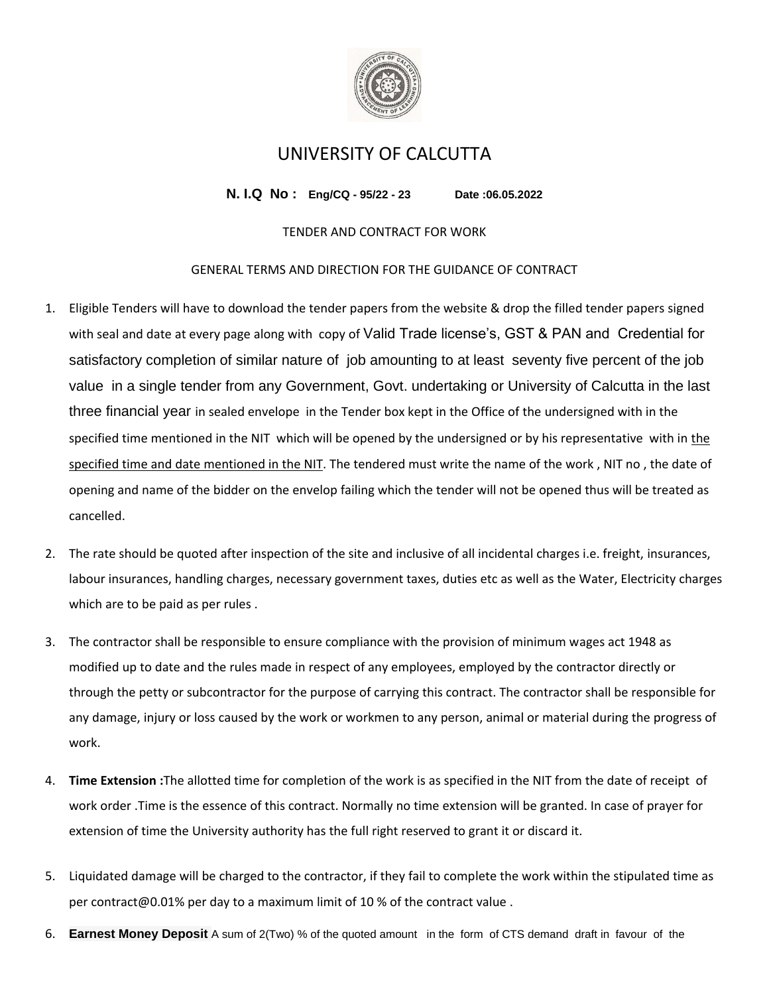

## UNIVERSITY OF CALCUTTA

**N. I.Q No : Eng/CQ - 95/22 - 23 Date :06.05.2022**

### TENDER AND CONTRACT FOR WORK

#### GENERAL TERMS AND DIRECTION FOR THE GUIDANCE OF CONTRACT

- 1. Eligible Tenders will have to download the tender papers from the website & drop the filled tender papers signed with seal and date at every page along with copy of Valid Trade license's, GST & PAN and Credential for satisfactory completion of similar nature of job amounting to at least seventy five percent of the job value in a single tender from any Government, Govt. undertaking or University of Calcutta in the last three financial year in sealed envelope in the Tender box kept in the Office of the undersigned with in the specified time mentioned in the NIT which will be opened by the undersigned or by his representative with in the specified time and date mentioned in the NIT. The tendered must write the name of the work , NIT no , the date of opening and name of the bidder on the envelop failing which the tender will not be opened thus will be treated as cancelled.
- 2. The rate should be quoted after inspection of the site and inclusive of all incidental charges i.e. freight, insurances, labour insurances, handling charges, necessary government taxes, duties etc as well as the Water, Electricity charges which are to be paid as per rules .
- 3. The contractor shall be responsible to ensure compliance with the provision of minimum wages act 1948 as modified up to date and the rules made in respect of any employees, employed by the contractor directly or through the petty or subcontractor for the purpose of carrying this contract. The contractor shall be responsible for any damage, injury or loss caused by the work or workmen to any person, animal or material during the progress of work.
- 4. **Time Extension :**The allotted time for completion of the work is as specified in the NIT from the date of receipt of work order .Time is the essence of this contract. Normally no time extension will be granted. In case of prayer for extension of time the University authority has the full right reserved to grant it or discard it.
- 5. Liquidated damage will be charged to the contractor, if they fail to complete the work within the stipulated time as per contract@0.01% per day to a maximum limit of 10 % of the contract value .
- 6. **Earnest Money Deposit** A sum of 2(Two) % of the quoted amount in the form of CTS demand draft in favour of the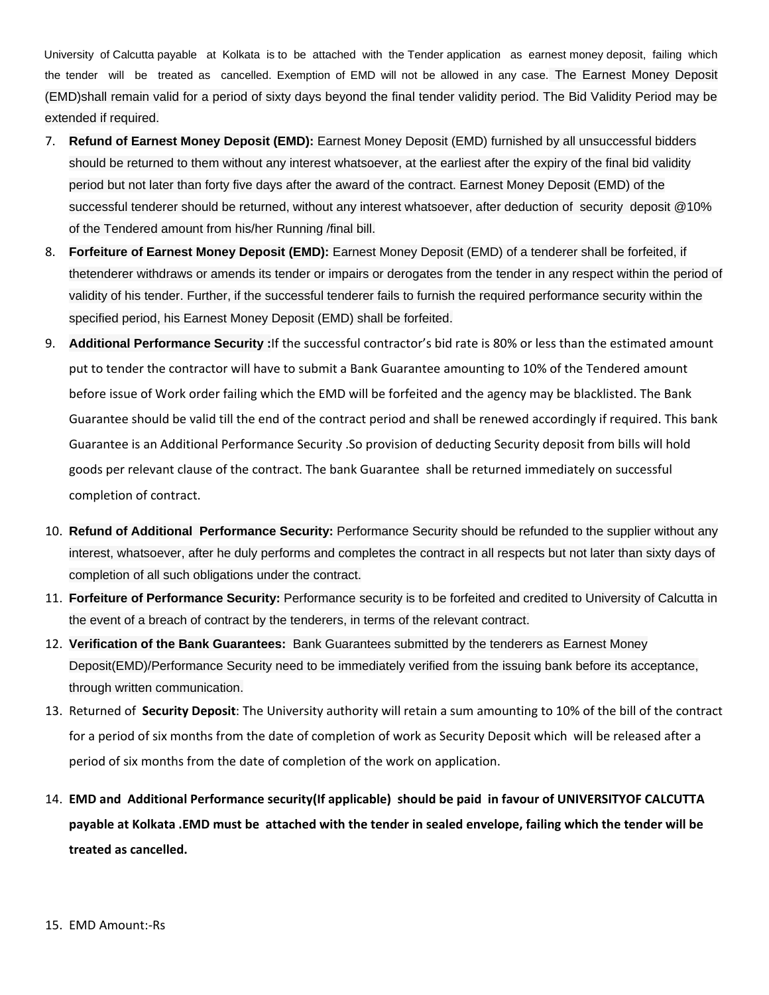University of Calcutta payable at Kolkata is to be attached with the Tender application as earnest money deposit, failing which the tender will be treated as cancelled. Exemption of EMD will not be allowed in any case. The Earnest Money Deposit (EMD)shall remain valid for a period of sixty days beyond the final tender validity period. The Bid Validity Period may be extended if required.

- 7. **Refund of Earnest Money Deposit (EMD):** Earnest Money Deposit (EMD) furnished by all unsuccessful bidders should be returned to them without any interest whatsoever, at the earliest after the expiry of the final bid validity period but not later than forty five days after the award of the contract. Earnest Money Deposit (EMD) of the successful tenderer should be returned, without any interest whatsoever, after deduction of security deposit @10% of the Tendered amount from his/her Running /final bill.
- 8. **Forfeiture of Earnest Money Deposit (EMD):** Earnest Money Deposit (EMD) of a tenderer shall be forfeited, if thetenderer withdraws or amends its tender or impairs or derogates from the tender in any respect within the period of validity of his tender. Further, if the successful tenderer fails to furnish the required performance security within the specified period, his Earnest Money Deposit (EMD) shall be forfeited.
- 9. **Additional Performance Security :**If the successful contractor's bid rate is 80% or less than the estimated amount put to tender the contractor will have to submit a Bank Guarantee amounting to 10% of the Tendered amount before issue of Work order failing which the EMD will be forfeited and the agency may be blacklisted. The Bank Guarantee should be valid till the end of the contract period and shall be renewed accordingly if required. This bank Guarantee is an Additional Performance Security .So provision of deducting Security deposit from bills will hold goods per relevant clause of the contract. The bank Guarantee shall be returned immediately on successful completion of contract.
- 10. **Refund of Additional Performance Security:** Performance Security should be refunded to the supplier without any interest, whatsoever, after he duly performs and completes the contract in all respects but not later than sixty days of completion of all such obligations under the contract.
- 11. **Forfeiture of Performance Security:** Performance security is to be forfeited and credited to University of Calcutta in the event of a breach of contract by the tenderers, in terms of the relevant contract.
- 12. **Verification of the Bank Guarantees:** Bank Guarantees submitted by the tenderers as Earnest Money Deposit(EMD)/Performance Security need to be immediately verified from the issuing bank before its acceptance, through written communication.
- 13. Returned of **Security Deposit**: The University authority will retain a sum amounting to 10% of the bill of the contract for a period of six months from the date of completion of work as Security Deposit which will be released after a period of six months from the date of completion of the work on application.
- 14. **EMD and Additional Performance security(If applicable) should be paid in favour of UNIVERSITYOF CALCUTTA payable at Kolkata .EMD must be attached with the tender in sealed envelope, failing which the tender will be treated as cancelled.**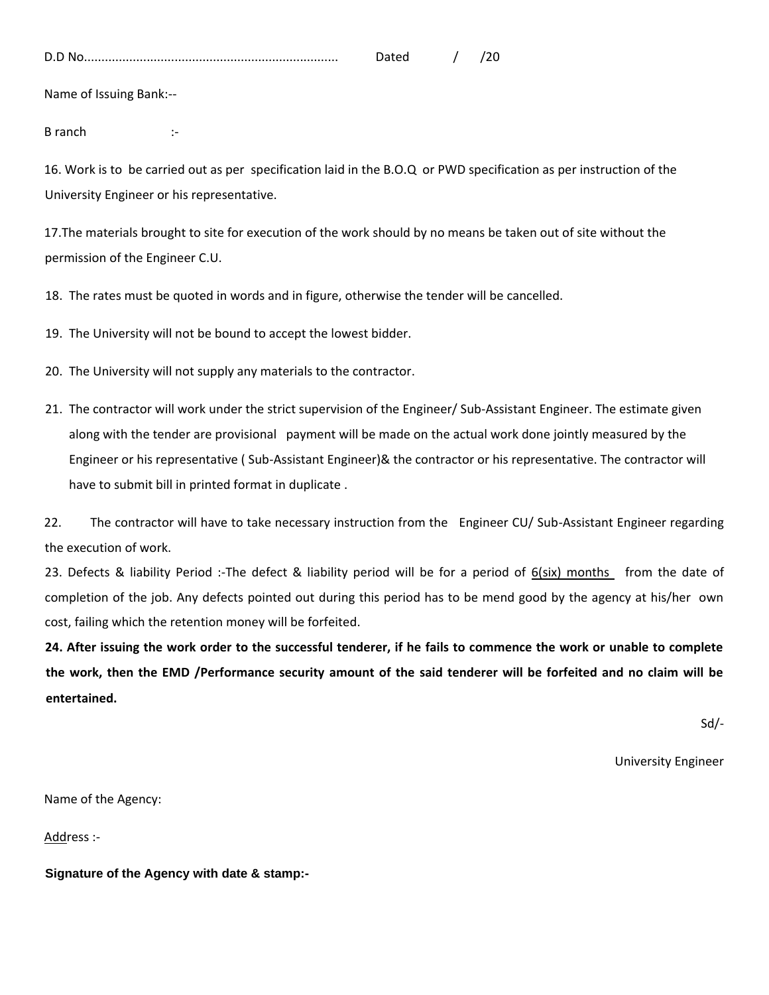| D.<br>υ.ι |  |  |
|-----------|--|--|
|           |  |  |

Name of Issuing Bank:--

B ranch :-

16. Work is to be carried out as per specification laid in the B.O.Q or PWD specification as per instruction of the University Engineer or his representative.

17.The materials brought to site for execution of the work should by no means be taken out of site without the permission of the Engineer C.U.

18. The rates must be quoted in words and in figure, otherwise the tender will be cancelled.

19. The University will not be bound to accept the lowest bidder.

- 20. The University will not supply any materials to the contractor.
- 21. The contractor will work under the strict supervision of the Engineer/ Sub-Assistant Engineer. The estimate given along with the tender are provisional payment will be made on the actual work done jointly measured by the Engineer or his representative ( Sub-Assistant Engineer)& the contractor or his representative. The contractor will have to submit bill in printed format in duplicate .

22. The contractor will have to take necessary instruction from the Engineer CU/ Sub-Assistant Engineer regarding the execution of work.

23. Defects & liability Period :-The defect & liability period will be for a period of 6(six) months from the date of completion of the job. Any defects pointed out during this period has to be mend good by the agency at his/her own cost, failing which the retention money will be forfeited.

**24. After issuing the work order to the successful tenderer, if he fails to commence the work or unable to complete the work, then the EMD /Performance security amount of the said tenderer will be forfeited and no claim will be entertained.** 

Sd/-

University Engineer

Name of the Agency:

Address :-

**Signature of the Agency with date & stamp:-**